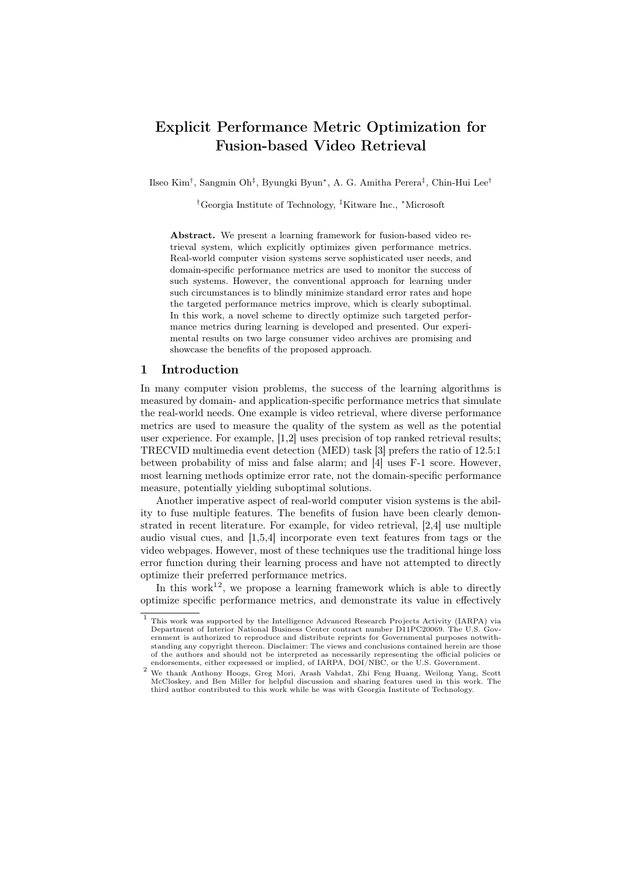# Explicit Performance Metric Optimization for Fusion-based Video Retrieval

Ilseo Kim<sup>†</sup>, Sangmin Oh<sup>‡</sup>, Byungki Byun<sup>∗</sup>, A. G. Amitha Perera<sup>‡</sup>, Chin-Hui Lee<sup>†</sup>

†Georgia Institute of Technology, ‡Kitware Inc., <sup>∗</sup>Microsoft

Abstract. We present a learning framework for fusion-based video retrieval system, which explicitly optimizes given performance metrics. Real-world computer vision systems serve sophisticated user needs, and domain-specific performance metrics are used to monitor the success of such systems. However, the conventional approach for learning under such circumstances is to blindly minimize standard error rates and hope the targeted performance metrics improve, which is clearly suboptimal. In this work, a novel scheme to directly optimize such targeted performance metrics during learning is developed and presented. Our experimental results on two large consumer video archives are promising and showcase the benefits of the proposed approach.

# 1 Introduction

In many computer vision problems, the success of the learning algorithms is measured by domain- and application-specific performance metrics that simulate the real-world needs. One example is video retrieval, where diverse performance metrics are used to measure the quality of the system as well as the potential user experience. For example, [1,2] uses precision of top ranked retrieval results; TRECVID multimedia event detection (MED) task [3] prefers the ratio of 12.5:1 between probability of miss and false alarm; and [4] uses F-1 score. However, most learning methods optimize error rate, not the domain-specific performance measure, potentially yielding suboptimal solutions.

Another imperative aspect of real-world computer vision systems is the ability to fuse multiple features. The benefits of fusion have been clearly demonstrated in recent literature. For example, for video retrieval, [2,4] use multiple audio visual cues, and [1,5,4] incorporate even text features from tags or the video webpages. However, most of these techniques use the traditional hinge loss error function during their learning process and have not attempted to directly optimize their preferred performance metrics.

In this work<sup>12</sup>, we propose a learning framework which is able to directly optimize specific performance metrics, and demonstrate its value in effectively

<sup>1</sup> This work was supported by the Intelligence Advanced Research Projects Activity (IARPA) via Department of Interior National Business Center contract number D11PC20069. The U.S. Government is authorized to reproduce and distribute reprints for Governmental purposes notwithstanding any copyright thereon. Disclaimer: The views and conclusions contained herein are those of the authors and should not be interpreted as necessarily representing the official policies or endorsements, either expressed or implied, of IARPA, DOI/NBC, or the U.S. Government.

<sup>2</sup> We thank Anthony Hoogs, Greg Mori, Arash Vahdat, Zhi Feng Huang, Weilong Yang, Scott McCloskey, and Ben Miller for helpful discussion and sharing features used in this work. The third author contributed to this work while he was with Georgia Institute of Technology.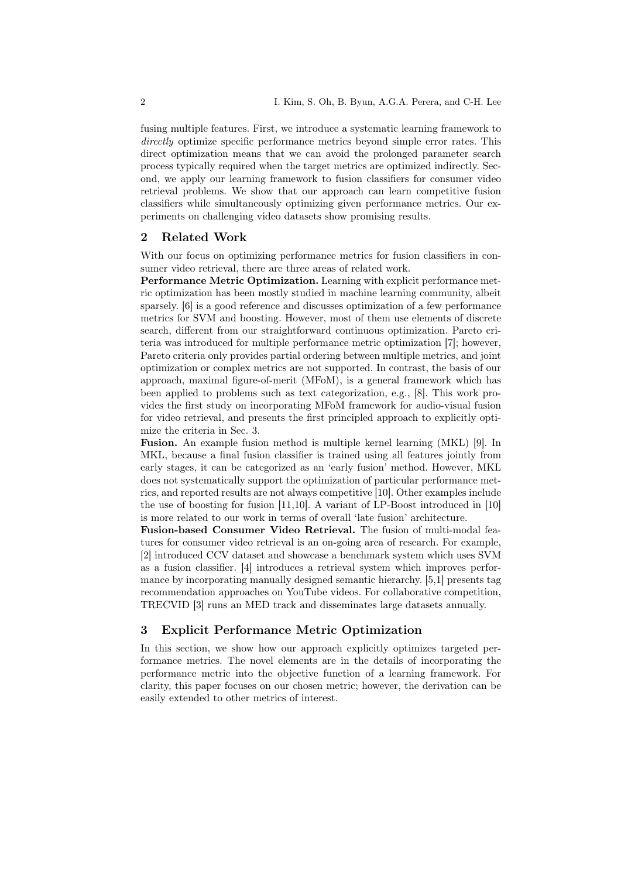fusing multiple features. First, we introduce a systematic learning framework to directly optimize specific performance metrics beyond simple error rates. This direct optimization means that we can avoid the prolonged parameter search process typically required when the target metrics are optimized indirectly. Second, we apply our learning framework to fusion classifiers for consumer video retrieval problems. We show that our approach can learn competitive fusion classifiers while simultaneously optimizing given performance metrics. Our experiments on challenging video datasets show promising results.

# 2 Related Work

With our focus on optimizing performance metrics for fusion classifiers in consumer video retrieval, there are three areas of related work.

Performance Metric Optimization. Learning with explicit performance metric optimization has been mostly studied in machine learning community, albeit sparsely. [6] is a good reference and discusses optimization of a few performance metrics for SVM and boosting. However, most of them use elements of discrete search, different from our straightforward continuous optimization. Pareto criteria was introduced for multiple performance metric optimization [7]; however, Pareto criteria only provides partial ordering between multiple metrics, and joint optimization or complex metrics are not supported. In contrast, the basis of our approach, maximal figure-of-merit (MFoM), is a general framework which has been applied to problems such as text categorization, e.g., [8]. This work provides the first study on incorporating MFoM framework for audio-visual fusion for video retrieval, and presents the first principled approach to explicitly optimize the criteria in Sec. 3.

Fusion. An example fusion method is multiple kernel learning (MKL) [9]. In MKL, because a final fusion classifier is trained using all features jointly from early stages, it can be categorized as an 'early fusion' method. However, MKL does not systematically support the optimization of particular performance metrics, and reported results are not always competitive [10]. Other examples include the use of boosting for fusion [11,10]. A variant of LP-Boost introduced in [10] is more related to our work in terms of overall 'late fusion' architecture.

Fusion-based Consumer Video Retrieval. The fusion of multi-modal features for consumer video retrieval is an on-going area of research. For example, [2] introduced CCV dataset and showcase a benchmark system which uses SVM as a fusion classifier. [4] introduces a retrieval system which improves performance by incorporating manually designed semantic hierarchy. [5,1] presents tag recommendation approaches on YouTube videos. For collaborative competition, TRECVID [3] runs an MED track and disseminates large datasets annually.

# 3 Explicit Performance Metric Optimization

In this section, we show how our approach explicitly optimizes targeted performance metrics. The novel elements are in the details of incorporating the performance metric into the objective function of a learning framework. For clarity, this paper focuses on our chosen metric; however, the derivation can be easily extended to other metrics of interest.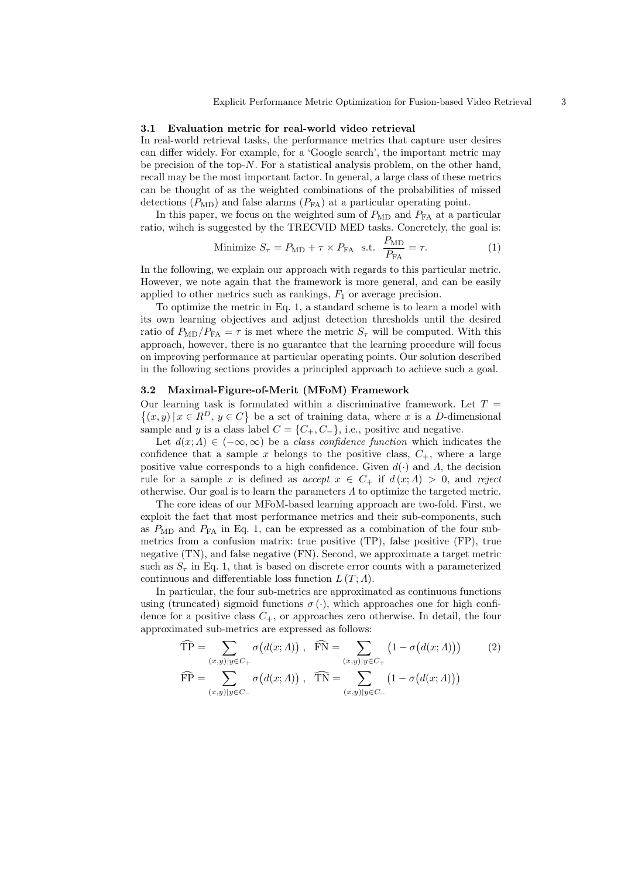#### 3.1 Evaluation metric for real-world video retrieval

In real-world retrieval tasks, the performance metrics that capture user desires can differ widely. For example, for a 'Google search', the important metric may be precision of the top- $N$ . For a statistical analysis problem, on the other hand, recall may be the most important factor. In general, a large class of these metrics can be thought of as the weighted combinations of the probabilities of missed detections  $(P_{MD})$  and false alarms  $(P_{FA})$  at a particular operating point.

In this paper, we focus on the weighted sum of  $P_{MD}$  and  $P_{FA}$  at a particular ratio, wihch is suggested by the TRECVID MED tasks. Concretely, the goal is:

Minimize 
$$
S_{\tau} = P_{\text{MD}} + \tau \times P_{\text{FA}}
$$
 s.t.  $\frac{P_{\text{MD}}}{P_{\text{FA}}} = \tau.$  (1)

In the following, we explain our approach with regards to this particular metric. However, we note again that the framework is more general, and can be easily applied to other metrics such as rankings,  $F_1$  or average precision.

To optimize the metric in Eq. 1, a standard scheme is to learn a model with its own learning objectives and adjust detection thresholds until the desired ratio of  $P_{MD}/P_{FA} = \tau$  is met where the metric  $S_{\tau}$  will be computed. With this approach, however, there is no guarantee that the learning procedure will focus on improving performance at particular operating points. Our solution described in the following sections provides a principled approach to achieve such a goal.

## 3.2 Maximal-Figure-of-Merit (MFoM) Framework

Our learning task is formulated within a discriminative framework. Let  $T =$  $\{(x, y) | x \in R^D, y \in C\}$  be a set of training data, where x is a D-dimensional sample and y is a class label  $C = \{C_+, C_-\}$ , i.e., positive and negative.

Let  $d(x; \Lambda) \in (-\infty, \infty)$  be a *class confidence function* which indicates the confidence that a sample x belongs to the positive class,  $C_{+}$ , where a large positive value corresponds to a high confidence. Given  $d(\cdot)$  and  $\Lambda$ , the decision rule for a sample x is defined as accept  $x \in C_+$  if  $d(x; \Lambda) > 0$ , and reject otherwise. Our goal is to learn the parameters  $\Lambda$  to optimize the targeted metric.

The core ideas of our MFoM-based learning approach are two-fold. First, we exploit the fact that most performance metrics and their sub-components, such as  $P_{MD}$  and  $P_{FA}$  in Eq. 1, can be expressed as a combination of the four submetrics from a confusion matrix: true positive (TP), false positive (FP), true negative (TN), and false negative (FN). Second, we approximate a target metric such as  $S_{\tau}$  in Eq. 1, that is based on discrete error counts with a parameterized continuous and differentiable loss function  $L(T; \Lambda)$ .

In particular, the four sub-metrics are approximated as continuous functions using (truncated) sigmoid functions  $\sigma(\cdot)$ , which approaches one for high confidence for a positive class  $C_+$ , or approaches zero otherwise. In detail, the four approximated sub-metrics are expressed as follows:

$$
\widehat{TP} = \sum_{(x,y)|y \in C_+} \sigma(d(x; \Lambda)), \quad \widehat{FN} = \sum_{(x,y)|y \in C_+} (1 - \sigma(d(x; \Lambda))) \tag{2}
$$
\n
$$
\widehat{FP} = \sum_{(x,y)|y \in C_-} \sigma(d(x; \Lambda)), \quad \widehat{TN} = \sum_{(x,y)|y \in C_-} (1 - \sigma(d(x; \Lambda)))
$$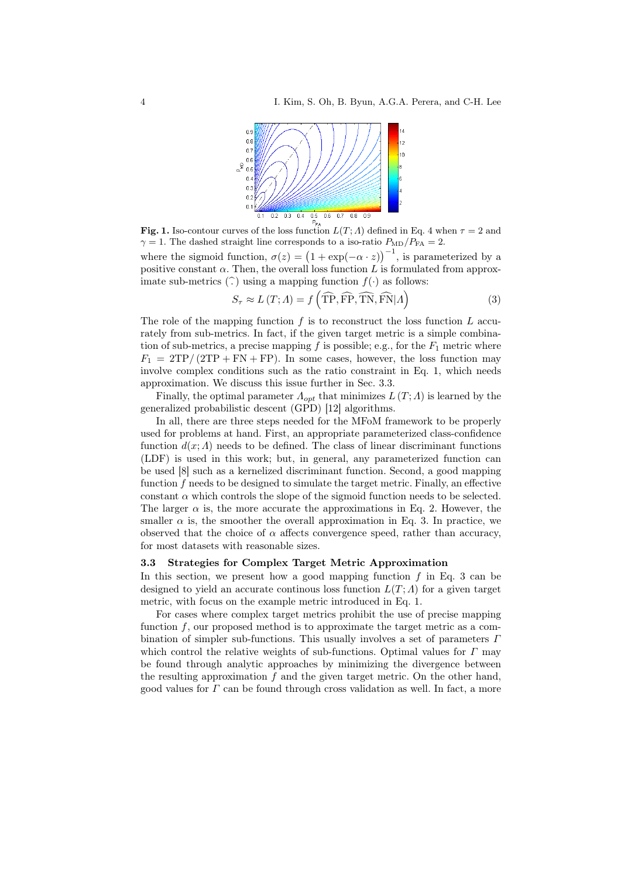

Fig. 1. Iso-contour curves of the loss function  $L(T; \Lambda)$  defined in Eq. 4 when  $\tau = 2$  and  $\gamma = 1$ . The dashed straight line corresponds to a iso-ratio  $P_{MD}/P_{FA} = 2$ .

where the sigmoid function,  $\sigma(z) = (1 + \exp(-\alpha \cdot z))^{-1}$ , is parameterized by a positive constant  $\alpha$ . Then, the overall loss function L is formulated from approximate sub-metrics  $(\hat{\cdot})$  using a mapping function  $f(\cdot)$  as follows:

$$
S_{\tau} \approx L(T; \Lambda) = f\left(\widehat{\text{TP}}, \widehat{\text{FP}}, \widehat{\text{TN}}, \widehat{\text{FN}} | \Lambda\right)
$$
(3)

The role of the mapping function  $f$  is to reconstruct the loss function  $L$  accurately from sub-metrics. In fact, if the given target metric is a simple combination of sub-metrics, a precise mapping  $f$  is possible; e.g., for the  $F_1$  metric where  $F_1 = 2TP/(2TP + FN + FP)$ . In some cases, however, the loss function may involve complex conditions such as the ratio constraint in Eq. 1, which needs approximation. We discuss this issue further in Sec. 3.3.

Finally, the optimal parameter  $\Lambda_{opt}$  that minimizes  $L(T; \Lambda)$  is learned by the generalized probabilistic descent (GPD) [12] algorithms.

In all, there are three steps needed for the MFoM framework to be properly used for problems at hand. First, an appropriate parameterized class-confidence function  $d(x; \Lambda)$  needs to be defined. The class of linear discriminant functions (LDF) is used in this work; but, in general, any parameterized function can be used [8] such as a kernelized discriminant function. Second, a good mapping function  $f$  needs to be designed to simulate the target metric. Finally, an effective constant  $\alpha$  which controls the slope of the sigmoid function needs to be selected. The larger  $\alpha$  is, the more accurate the approximations in Eq. 2. However, the smaller  $\alpha$  is, the smoother the overall approximation in Eq. 3. In practice, we observed that the choice of  $\alpha$  affects convergence speed, rather than accuracy, for most datasets with reasonable sizes.

## 3.3 Strategies for Complex Target Metric Approximation

In this section, we present how a good mapping function  $f$  in Eq. 3 can be designed to yield an accurate continous loss function  $L(T; \Lambda)$  for a given target metric, with focus on the example metric introduced in Eq. 1.

For cases where complex target metrics prohibit the use of precise mapping function  $f$ , our proposed method is to approximate the target metric as a combination of simpler sub-functions. This usually involves a set of parameters  $\Gamma$ which control the relative weights of sub-functions. Optimal values for  $\Gamma$  may be found through analytic approaches by minimizing the divergence between the resulting approximation  $f$  and the given target metric. On the other hand, good values for  $\Gamma$  can be found through cross validation as well. In fact, a more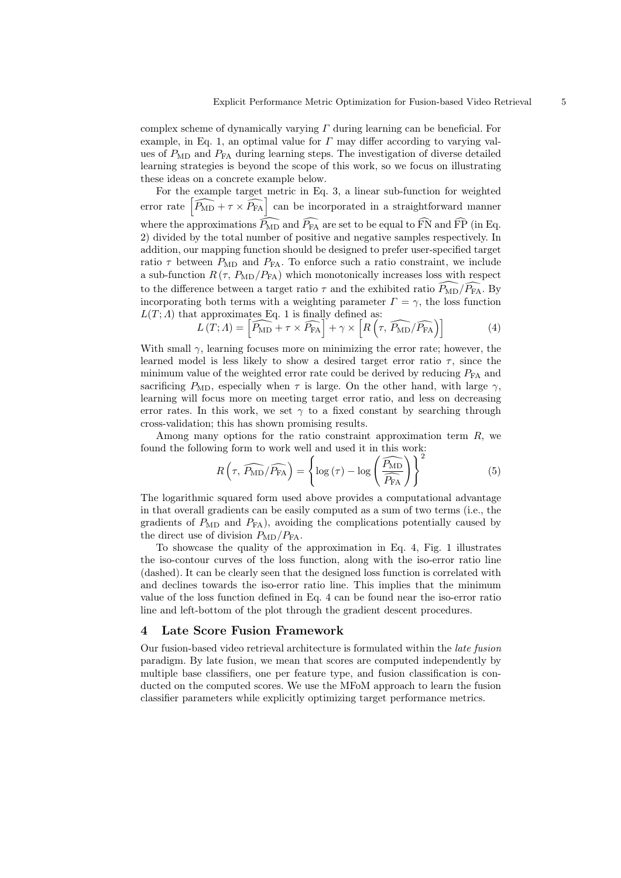complex scheme of dynamically varying  $\Gamma$  during learning can be beneficial. For example, in Eq. 1, an optimal value for  $\Gamma$  may differ according to varying values of  $P_{MD}$  and  $P_{FA}$  during learning steps. The investigation of diverse detailed learning strategies is beyond the scope of this work, so we focus on illustrating these ideas on a concrete example below.

For the example target metric in Eq. 3, a linear sub-function for weighted error rate  $\left[\widehat{P_{\rm MD}} + \tau \times \widehat{P_{\rm FA}}\right]$  can be incorporated in a straightforward manner where the approximations  $\widehat{P_{\text{MD}}}$  and  $\widehat{P_{FA}}$  are set to be equal to  $\widehat{FN}$  and  $\widehat{FP}$  (in Eq. 2) divided by the total number of positive and negative samples respectively. In addition, our mapping function should be designed to prefer user-specified target ratio  $\tau$  between  $P_{MD}$  and  $P_{FA}$ . To enforce such a ratio constraint, we include a sub-function  $R(\tau, P_{MD}/P_{FA})$  which monotonically increases loss with respect to the difference between a target ratio  $\tau$  and the exhibited ratio  $\overline{P_{MD}}/\overline{P_{FA}}$ . By incorporating both terms with a weighting parameter  $\Gamma = \gamma$ , the loss function  $L(T; \Lambda)$  that approximates Eq. 1 is finally defined as:

$$
L(T; \Lambda) = \left[ \widehat{P_{\text{MD}}} + \tau \times \widehat{P_{\text{FA}}} \right] + \gamma \times \left[ R \left( \tau, \widehat{P_{\text{MD}}} / \widehat{P_{\text{FA}}} \right) \right]
$$
(4)

With small  $\gamma$ , learning focuses more on minimizing the error rate; however, the learned model is less likely to show a desired target error ratio  $\tau$ , since the minimum value of the weighted error rate could be derived by reducing  $P_{FA}$  and sacrificing  $P_{MD}$ , especially when  $\tau$  is large. On the other hand, with large  $\gamma$ , learning will focus more on meeting target error ratio, and less on decreasing error rates. In this work, we set  $\gamma$  to a fixed constant by searching through cross-validation; this has shown promising results.

Among many options for the ratio constraint approximation term  $R$ , we found the following form to work well and used it in this work:

$$
R\left(\tau, \widehat{P_{\text{MD}}}/\widehat{P_{\text{FA}}}\right) = \left\{ \log\left(\tau\right) - \log\left(\frac{\widehat{P_{\text{MD}}}}{\widehat{P_{\text{FA}}}}\right) \right\}^2 \tag{5}
$$

The logarithmic squared form used above provides a computational advantage in that overall gradients can be easily computed as a sum of two terms (i.e., the gradients of  $P_{MD}$  and  $P_{FA}$ ), avoiding the complications potentially caused by the direct use of division  $P_{MD}/P_{FA}$ .

To showcase the quality of the approximation in Eq. 4, Fig. 1 illustrates the iso-contour curves of the loss function, along with the iso-error ratio line (dashed). It can be clearly seen that the designed loss function is correlated with and declines towards the iso-error ratio line. This implies that the minimum value of the loss function defined in Eq. 4 can be found near the iso-error ratio line and left-bottom of the plot through the gradient descent procedures.

#### 4 Late Score Fusion Framework

Our fusion-based video retrieval architecture is formulated within the late fusion paradigm. By late fusion, we mean that scores are computed independently by multiple base classifiers, one per feature type, and fusion classification is conducted on the computed scores. We use the MFoM approach to learn the fusion classifier parameters while explicitly optimizing target performance metrics.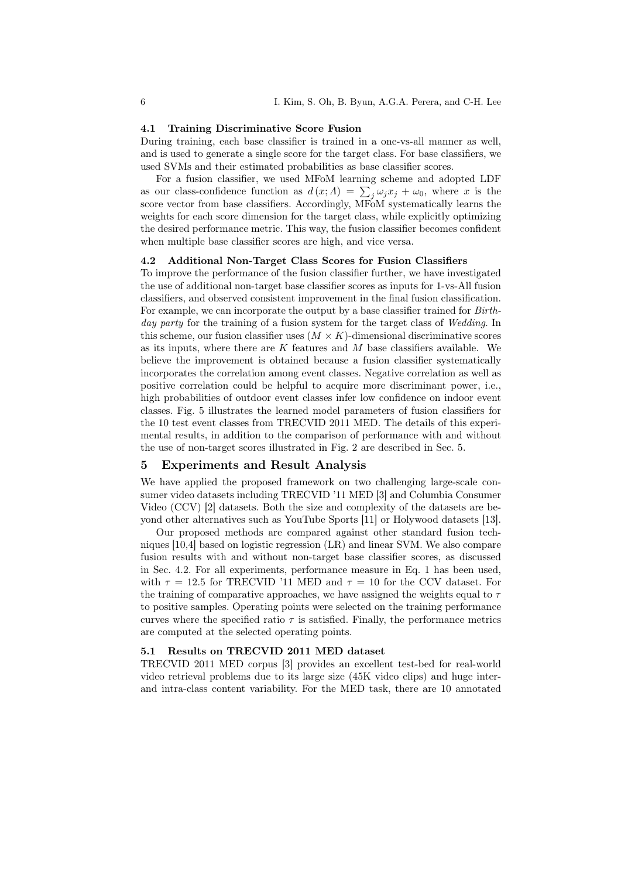#### 4.1 Training Discriminative Score Fusion

During training, each base classifier is trained in a one-vs-all manner as well, and is used to generate a single score for the target class. For base classifiers, we used SVMs and their estimated probabilities as base classifier scores.

For a fusion classifier, we used MFoM learning scheme and adopted LDF as our class-confidence function as  $d(x; \Lambda) = \sum_j \omega_j x_j + \omega_0$ , where x is the score vector from base classifiers. Accordingly,  $\overrightarrow{\text{M}\text{F}}_{OM}$  systematically learns the weights for each score dimension for the target class, while explicitly optimizing the desired performance metric. This way, the fusion classifier becomes confident when multiple base classifier scores are high, and vice versa.

### 4.2 Additional Non-Target Class Scores for Fusion Classifiers

To improve the performance of the fusion classifier further, we have investigated the use of additional non-target base classifier scores as inputs for 1-vs-All fusion classifiers, and observed consistent improvement in the final fusion classification. For example, we can incorporate the output by a base classifier trained for Birthday party for the training of a fusion system for the target class of Wedding. In this scheme, our fusion classifier uses  $(M \times K)$ -dimensional discriminative scores as its inputs, where there are  $K$  features and  $M$  base classifiers available. We believe the improvement is obtained because a fusion classifier systematically incorporates the correlation among event classes. Negative correlation as well as positive correlation could be helpful to acquire more discriminant power, i.e., high probabilities of outdoor event classes infer low confidence on indoor event classes. Fig. 5 illustrates the learned model parameters of fusion classifiers for the 10 test event classes from TRECVID 2011 MED. The details of this experimental results, in addition to the comparison of performance with and without the use of non-target scores illustrated in Fig. 2 are described in Sec. 5.

# 5 Experiments and Result Analysis

We have applied the proposed framework on two challenging large-scale consumer video datasets including TRECVID '11 MED [3] and Columbia Consumer Video (CCV) [2] datasets. Both the size and complexity of the datasets are beyond other alternatives such as YouTube Sports [11] or Holywood datasets [13].

Our proposed methods are compared against other standard fusion techniques [10,4] based on logistic regression (LR) and linear SVM. We also compare fusion results with and without non-target base classifier scores, as discussed in Sec. 4.2. For all experiments, performance measure in Eq. 1 has been used, with  $\tau = 12.5$  for TRECVID '11 MED and  $\tau = 10$  for the CCV dataset. For the training of comparative approaches, we have assigned the weights equal to  $\tau$ to positive samples. Operating points were selected on the training performance curves where the specified ratio  $\tau$  is satisfied. Finally, the performance metrics are computed at the selected operating points.

## 5.1 Results on TRECVID 2011 MED dataset

TRECVID 2011 MED corpus [3] provides an excellent test-bed for real-world video retrieval problems due to its large size (45K video clips) and huge interand intra-class content variability. For the MED task, there are 10 annotated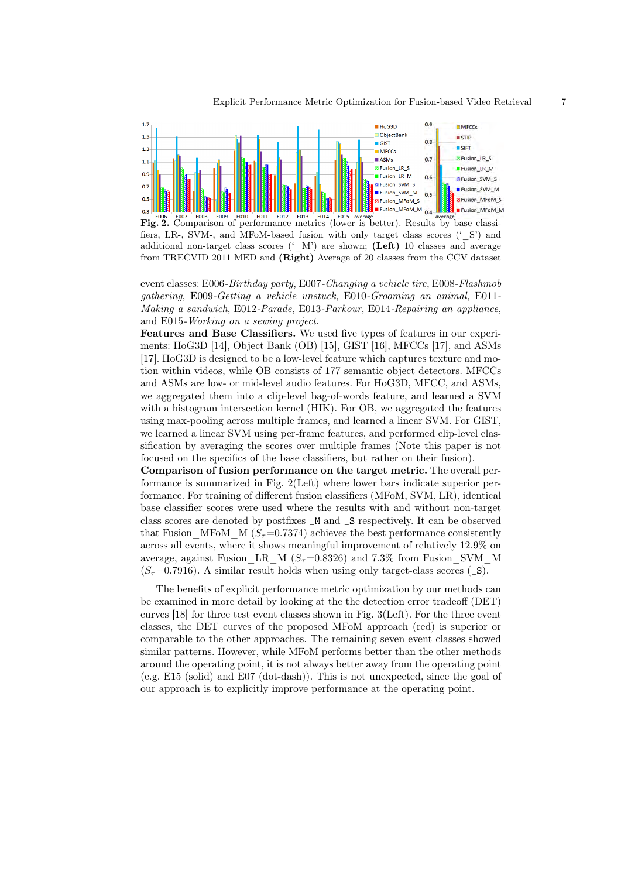

Fig. 2. Comparison of performance metrics (lower is better). Results by base classifiers, LR-, SVM-, and MFoM-based fusion with only target class scores ('\_S') and additional non-target class scores ( $(W)$ ) are shown; (Left) 10 classes and average from TRECVID 2011 MED and (Right) Average of 20 classes from the CCV dataset

event classes: E006-Birthday party, E007-Changing a vehicle tire, E008-Flashmob gathering, E009-Getting a vehicle unstuck, E010-Grooming an animal, E011- Making a sandwich, E012-Parade, E013-Parkour, E014-Repairing an appliance, and E015-Working on a sewing project.

Features and Base Classifiers. We used five types of features in our experiments: HoG3D [14], Object Bank (OB) [15], GIST [16], MFCCs [17], and ASMs [17]. HoG3D is designed to be a low-level feature which captures texture and motion within videos, while OB consists of 177 semantic object detectors. MFCCs and ASMs are low- or mid-level audio features. For HoG3D, MFCC, and ASMs, we aggregated them into a clip-level bag-of-words feature, and learned a SVM with a histogram intersection kernel (HIK). For OB, we aggregated the features using max-pooling across multiple frames, and learned a linear SVM. For GIST, we learned a linear SVM using per-frame features, and performed clip-level classification by averaging the scores over multiple frames (Note this paper is not focused on the specifics of the base classifiers, but rather on their fusion).

Comparison of fusion performance on the target metric. The overall performance is summarized in Fig. 2(Left) where lower bars indicate superior performance. For training of different fusion classifiers (MFoM, SVM, LR), identical base classifier scores were used where the results with and without non-target class scores are denoted by postfixes \_M and \_S respectively. It can be observed that Fusion MFoM M  $(S_\tau=0.7374)$  achieves the best performance consistently across all events, where it shows meaningful improvement of relatively 12.9% on average, against Fusion\_LR\_M ( $S<sub>\tau</sub>=0.8326$ ) and 7.3% from Fusion\_SVM\_M  $(S_{\tau}=0.7916)$ . A similar result holds when using only target-class scores ( $\Box$ S).

The benefits of explicit performance metric optimization by our methods can be examined in more detail by looking at the the detection error tradeoff (DET) curves [18] for three test event classes shown in Fig. 3(Left). For the three event classes, the DET curves of the proposed MFoM approach (red) is superior or comparable to the other approaches. The remaining seven event classes showed similar patterns. However, while MFoM performs better than the other methods around the operating point, it is not always better away from the operating point (e.g. E15 (solid) and E07 (dot-dash)). This is not unexpected, since the goal of our approach is to explicitly improve performance at the operating point.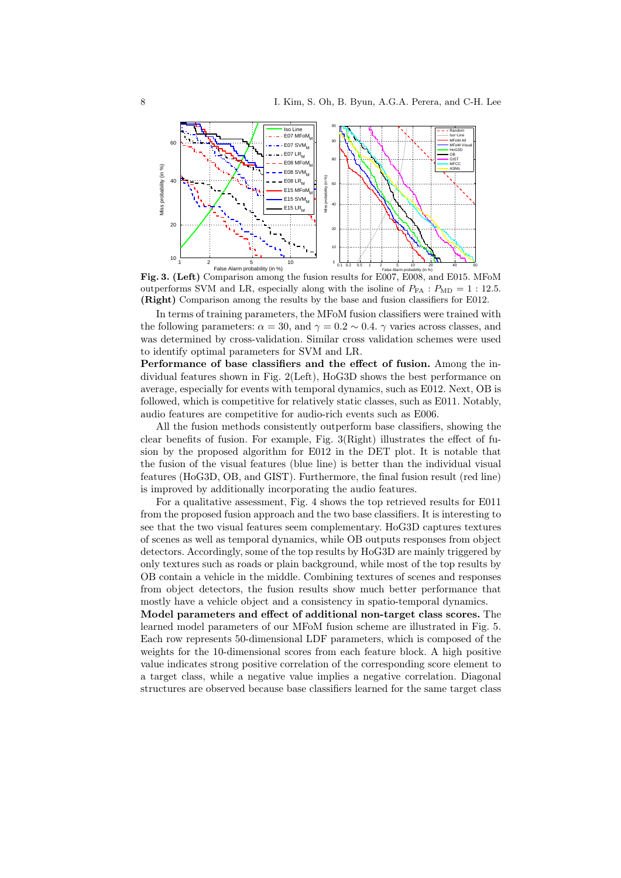

Fig. 3. (Left) Comparison among the fusion results for E007, E008, and E015. MFoM outperforms SVM and LR, especially along with the isoline of  $P_{FA}$  :  $P_{MD} = 1$  : 12.5. (Right) Comparison among the results by the base and fusion classifiers for E012.

In terms of training parameters, the MFoM fusion classifiers were trained with the following parameters:  $\alpha = 30$ , and  $\gamma = 0.2 \sim 0.4$ .  $\gamma$  varies across classes, and was determined by cross-validation. Similar cross validation schemes were used to identify optimal parameters for SVM and LR.

Performance of base classifiers and the effect of fusion. Among the individual features shown in Fig. 2(Left), HoG3D shows the best performance on average, especially for events with temporal dynamics, such as E012. Next, OB is followed, which is competitive for relatively static classes, such as E011. Notably, audio features are competitive for audio-rich events such as E006.

All the fusion methods consistently outperform base classifiers, showing the clear benefits of fusion. For example, Fig. 3(Right) illustrates the effect of fusion by the proposed algorithm for E012 in the DET plot. It is notable that the fusion of the visual features (blue line) is better than the individual visual features (HoG3D, OB, and GIST). Furthermore, the final fusion result (red line) is improved by additionally incorporating the audio features.

For a qualitative assessment, Fig. 4 shows the top retrieved results for E011 from the proposed fusion approach and the two base classifiers. It is interesting to see that the two visual features seem complementary. HoG3D captures textures of scenes as well as temporal dynamics, while OB outputs responses from object detectors. Accordingly, some of the top results by HoG3D are mainly triggered by only textures such as roads or plain background, while most of the top results by OB contain a vehicle in the middle. Combining textures of scenes and responses from object detectors, the fusion results show much better performance that mostly have a vehicle object and a consistency in spatio-temporal dynamics.

Model parameters and effect of additional non-target class scores. The learned model parameters of our MFoM fusion scheme are illustrated in Fig. 5. Each row represents 50-dimensional LDF parameters, which is composed of the weights for the 10-dimensional scores from each feature block. A high positive value indicates strong positive correlation of the corresponding score element to a target class, while a negative value implies a negative correlation. Diagonal structures are observed because base classifiers learned for the same target class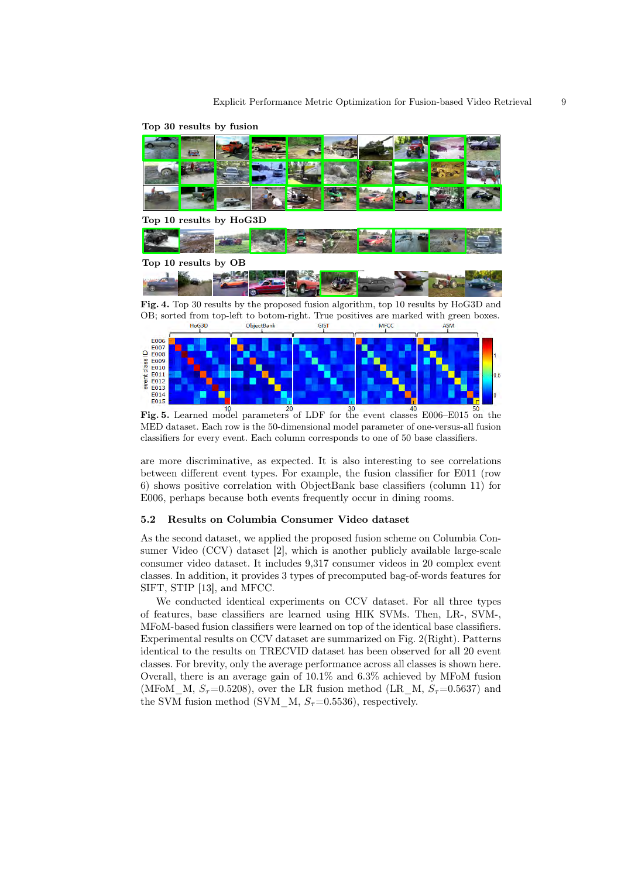

Top 30 results by fusion

OB; sorted from top-left to botom-right. True positives are marked with green boxes.<br>  $\frac{\text{MFCC}}{\text{ASM}}$ **GIST ASM** 



Fig. 5. Learned model parameters of LDF for the event classes E006–E015 on the MED dataset. Each row is the 50-dimensional model parameter of one-versus-all fusion classifiers for every event. Each column corresponds to one of 50 base classifiers.

are more discriminative, as expected. It is also interesting to see correlations between different event types. For example, the fusion classifier for E011 (row 6) shows positive correlation with ObjectBank base classifiers (column 11) for E006, perhaps because both events frequently occur in dining rooms.

#### 5.2 Results on Columbia Consumer Video dataset

As the second dataset, we applied the proposed fusion scheme on Columbia Consumer Video (CCV) dataset [2], which is another publicly available large-scale consumer video dataset. It includes 9,317 consumer videos in 20 complex event classes. In addition, it provides 3 types of precomputed bag-of-words features for SIFT, STIP [13], and MFCC.

We conducted identical experiments on CCV dataset. For all three types of features, base classifiers are learned using HIK SVMs. Then, LR-, SVM-, MFoM-based fusion classifiers were learned on top of the identical base classifiers. Experimental results on CCV dataset are summarized on Fig. 2(Right). Patterns identical to the results on TRECVID dataset has been observed for all 20 event classes. For brevity, only the average performance across all classes is shown here. Overall, there is an average gain of 10.1% and 6.3% achieved by MFoM fusion (MFoM M,  $S_\tau=0.5208$ ), over the LR fusion method (LR M,  $S_\tau=0.5637$ ) and the SVM fusion method (SVM  $M, S<sub>\tau</sub>=0.5536$ ), respectively.